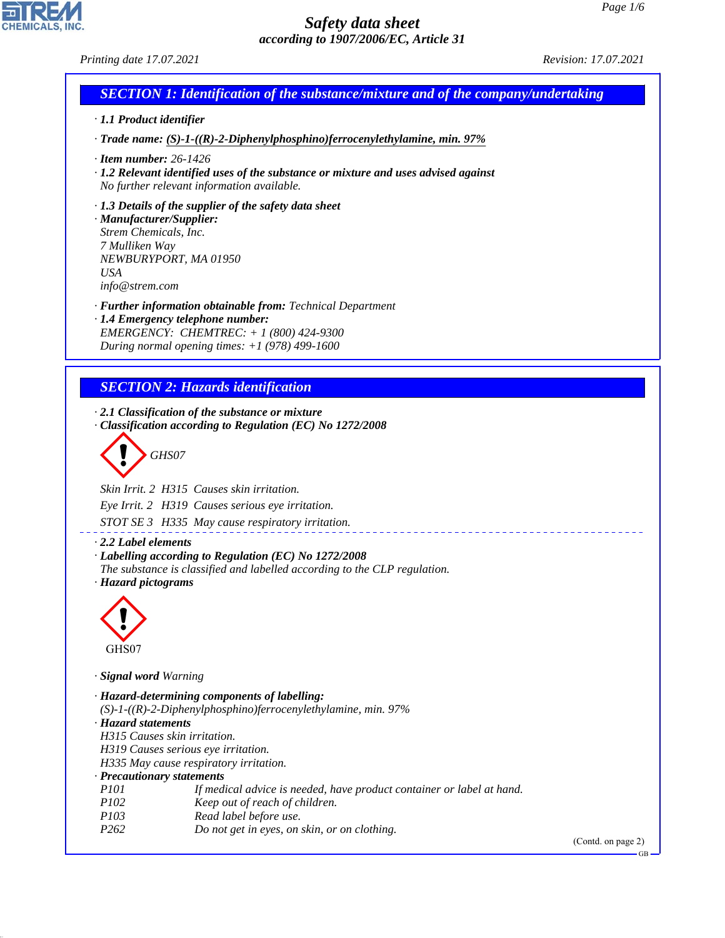## *Printing date 17.07.2021 Revision: 17.07.2021*

# *SECTION 1: Identification of the substance/mixture and of the company/undertaking*

- *· 1.1 Product identifier*
- *· Trade name: (S)-1-((R)-2-Diphenylphosphino)ferrocenylethylamine, min. 97%*
- *· Item number: 26-1426*
- *· 1.2 Relevant identified uses of the substance or mixture and uses advised against No further relevant information available.*
- *· 1.3 Details of the supplier of the safety data sheet*

*· Manufacturer/Supplier: Strem Chemicals, Inc. 7 Mulliken Way NEWBURYPORT, MA 01950 USA info@strem.com*

- *· Further information obtainable from: Technical Department*
- *· 1.4 Emergency telephone number: EMERGENCY: CHEMTREC: + 1 (800) 424-9300 During normal opening times: +1 (978) 499-1600*

# *SECTION 2: Hazards identification*

*· 2.1 Classification of the substance or mixture · Classification according to Regulation (EC) No 1272/2008*

$$
\left\langle \begin{array}{c}\n\end{array}\right\rangle
$$
 GHSO7

*Skin Irrit. 2 H315 Causes skin irritation.*

*Eye Irrit. 2 H319 Causes serious eye irritation.*

*STOT SE 3 H335 May cause respiratory irritation.*

*· 2.2 Label elements*

- *· Labelling according to Regulation (EC) No 1272/2008*
- *The substance is classified and labelled according to the CLP regulation.*
- *· Hazard pictograms*



44.1.1

*· Signal word Warning*

```
· Hazard-determining components of labelling:
(S)-1-((R)-2-Diphenylphosphino)ferrocenylethylamine, min. 97%
· Hazard statements
H315 Causes skin irritation.
H319 Causes serious eye irritation.
H335 May cause respiratory irritation.
· Precautionary statements
P101 If medical advice is needed, have product container or label at hand.
P102 Keep out of reach of children.
P103 Read label before use.
P262 Do not get in eyes, on skin, or on clothing.
```
(Contd. on page 2)

GB

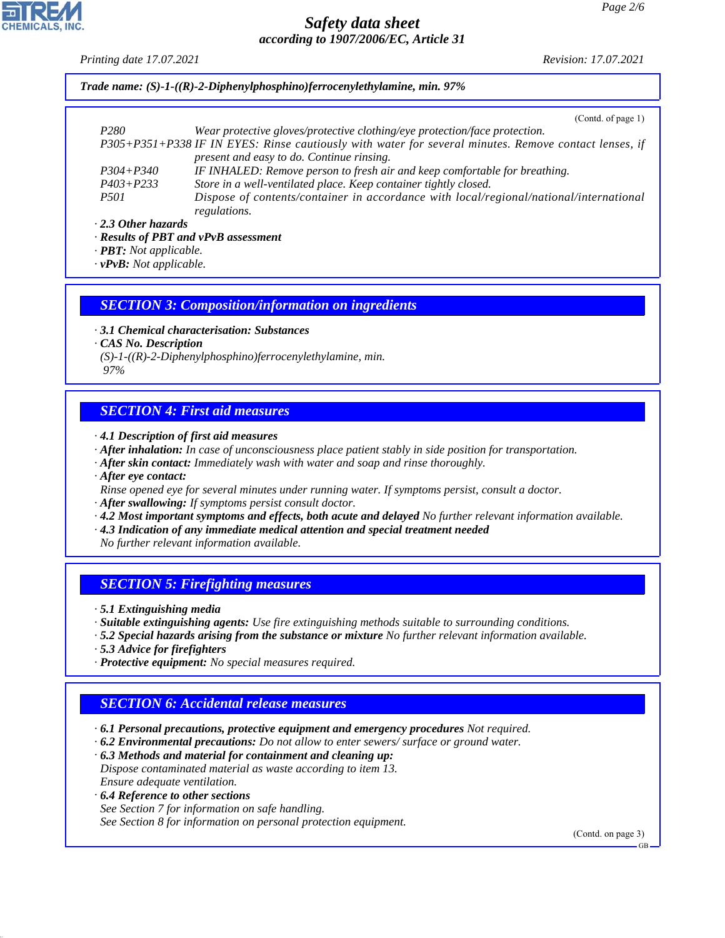*Printing date 17.07.2021 Revision: 17.07.2021*

# *Trade name: (S)-1-((R)-2-Diphenylphosphino)ferrocenylethylamine, min. 97%*

(Contd. of page 1)

| P <sub>280</sub> | Wear protective gloves/protective clothing/eye protection/face protection.                            |
|------------------|-------------------------------------------------------------------------------------------------------|
|                  | P305+P351+P338 IF IN EYES: Rinse cautiously with water for several minutes. Remove contact lenses, if |
|                  | present and easy to do. Continue rinsing.                                                             |
| $P304 + P340$    | IF INHALED: Remove person to fresh air and keep comfortable for breathing.                            |
| $P403 + P233$    | Store in a well-ventilated place. Keep container tightly closed.                                      |
| <i>P501</i>      | Dispose of contents/container in accordance with local/regional/national/international                |
|                  | regulations.                                                                                          |
|                  |                                                                                                       |

#### *· 2.3 Other hazards*

*· Results of PBT and vPvB assessment*

*· PBT: Not applicable.*

*· vPvB: Not applicable.*

## *SECTION 3: Composition/information on ingredients*

*· 3.1 Chemical characterisation: Substances*

*· CAS No. Description*

*(S)-1-((R)-2-Diphenylphosphino)ferrocenylethylamine, min.*

#### *97%*

# *SECTION 4: First aid measures*

- *· 4.1 Description of first aid measures*
- *· After inhalation: In case of unconsciousness place patient stably in side position for transportation.*
- *· After skin contact: Immediately wash with water and soap and rinse thoroughly.*

*· After eye contact:*

- *Rinse opened eye for several minutes under running water. If symptoms persist, consult a doctor.*
- *· After swallowing: If symptoms persist consult doctor.*
- *· 4.2 Most important symptoms and effects, both acute and delayed No further relevant information available.*
- *· 4.3 Indication of any immediate medical attention and special treatment needed*

*No further relevant information available.*

# *SECTION 5: Firefighting measures*

*· 5.1 Extinguishing media*

- *· Suitable extinguishing agents: Use fire extinguishing methods suitable to surrounding conditions.*
- *· 5.2 Special hazards arising from the substance or mixture No further relevant information available.*
- *· 5.3 Advice for firefighters*

44.1.1

*· Protective equipment: No special measures required.*

# *SECTION 6: Accidental release measures*

- *· 6.1 Personal precautions, protective equipment and emergency procedures Not required.*
- *· 6.2 Environmental precautions: Do not allow to enter sewers/ surface or ground water.*
- *· 6.3 Methods and material for containment and cleaning up: Dispose contaminated material as waste according to item 13. Ensure adequate ventilation.*
- *· 6.4 Reference to other sections See Section 7 for information on safe handling. See Section 8 for information on personal protection equipment.*

(Contd. on page 3)

GB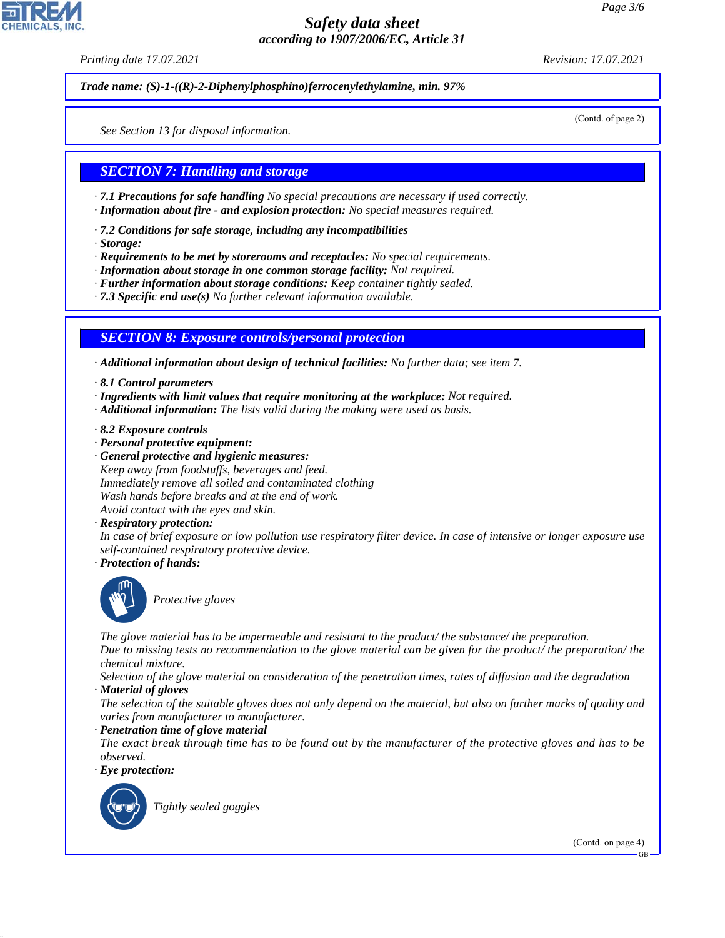*Printing date 17.07.2021 Revision: 17.07.2021*

*Trade name: (S)-1-((R)-2-Diphenylphosphino)ferrocenylethylamine, min. 97%*

(Contd. of page 2)

*See Section 13 for disposal information.*

# *SECTION 7: Handling and storage*

*· 7.1 Precautions for safe handling No special precautions are necessary if used correctly.*

- *· Information about fire and explosion protection: No special measures required.*
- *· 7.2 Conditions for safe storage, including any incompatibilities*
- *· Storage:*

*· Requirements to be met by storerooms and receptacles: No special requirements.*

- *· Information about storage in one common storage facility: Not required.*
- *· Further information about storage conditions: Keep container tightly sealed.*
- *· 7.3 Specific end use(s) No further relevant information available.*

# *SECTION 8: Exposure controls/personal protection*

*· Additional information about design of technical facilities: No further data; see item 7.*

- *· 8.1 Control parameters*
- *· Ingredients with limit values that require monitoring at the workplace: Not required.*
- *· Additional information: The lists valid during the making were used as basis.*
- *· 8.2 Exposure controls*
- *· Personal protective equipment:*
- *· General protective and hygienic measures: Keep away from foodstuffs, beverages and feed. Immediately remove all soiled and contaminated clothing Wash hands before breaks and at the end of work. Avoid contact with the eyes and skin.*
- *· Respiratory protection:*

*In case of brief exposure or low pollution use respiratory filter device. In case of intensive or longer exposure use self-contained respiratory protective device.*

*· Protection of hands:*



\_S*Protective gloves*

*The glove material has to be impermeable and resistant to the product/ the substance/ the preparation.*

*Due to missing tests no recommendation to the glove material can be given for the product/ the preparation/ the chemical mixture.*

*Selection of the glove material on consideration of the penetration times, rates of diffusion and the degradation*

*· Material of gloves*

*The selection of the suitable gloves does not only depend on the material, but also on further marks of quality and varies from manufacturer to manufacturer.*

*· Penetration time of glove material*

*The exact break through time has to be found out by the manufacturer of the protective gloves and has to be observed.*

*· Eye protection:*



44.1.1

\_R*Tightly sealed goggles*

(Contd. on page 4)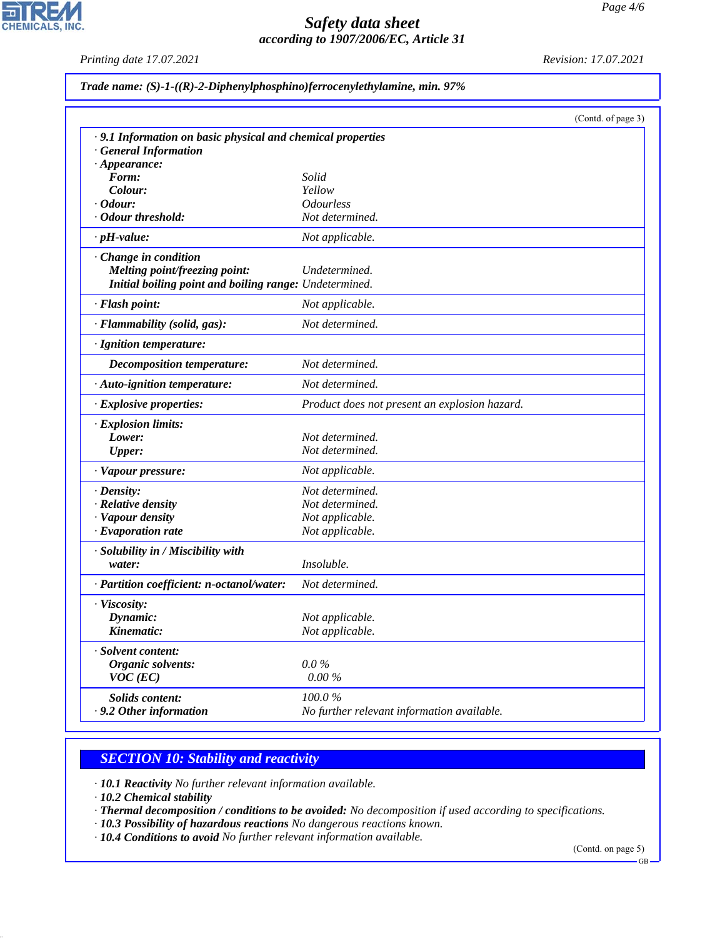*Printing date 17.07.2021 Revision: 17.07.2021*

고

**CHEMICALS, INC.** 

|                                                             |                                               | (Contd. of page 3) |
|-------------------------------------------------------------|-----------------------------------------------|--------------------|
| · 9.1 Information on basic physical and chemical properties |                                               |                    |
| <b>General Information</b>                                  |                                               |                    |
| $\cdot$ Appearance:                                         |                                               |                    |
| Form:                                                       | Solid                                         |                    |
| Colour:                                                     | Yellow                                        |                    |
| <i>Cdour:</i><br>· Odour threshold:                         | <b>Odourless</b><br>Not determined.           |                    |
|                                                             |                                               |                    |
| $\cdot$ pH-value:                                           | Not applicable.                               |                    |
| Change in condition                                         |                                               |                    |
| Melting point/freezing point:                               | Undetermined.                                 |                    |
| Initial boiling point and boiling range: Undetermined.      |                                               |                    |
| · Flash point:                                              | Not applicable.                               |                    |
| · Flammability (solid, gas):                                | Not determined.                               |                    |
| · Ignition temperature:                                     |                                               |                    |
| Decomposition temperature:                                  | Not determined.                               |                    |
| · Auto-ignition temperature:                                | Not determined.                               |                    |
| · Explosive properties:                                     | Product does not present an explosion hazard. |                    |
| · Explosion limits:                                         |                                               |                    |
| Lower:                                                      | Not determined.                               |                    |
| <b>Upper:</b>                                               | Not determined.                               |                    |
| · Vapour pressure:                                          | Not applicable.                               |                    |
| $\cdot$ Density:                                            | Not determined.                               |                    |
| · Relative density                                          | Not determined.                               |                    |
| · Vapour density                                            | Not applicable.                               |                    |
| $\cdot$ Evaporation rate                                    | Not applicable.                               |                    |
| · Solubility in / Miscibility with                          |                                               |                    |
| water:                                                      | Insoluble.                                    |                    |
| · Partition coefficient: n-octanol/water:                   | Not determined.                               |                    |
| · Viscosity:                                                |                                               |                    |
| Dynamic:                                                    | Not applicable.                               |                    |
| Kinematic:                                                  | Not applicable.                               |                    |
| · Solvent content:                                          |                                               |                    |
| Organic solvents:                                           | $0.0\,\%$                                     |                    |
| $VOC$ (EC)                                                  | $0.00\%$                                      |                    |
| <b>Solids content:</b>                                      | 100.0%                                        |                    |
| . 9.2 Other information                                     | No further relevant information available.    |                    |

# *SECTION 10: Stability and reactivity*

*· 10.1 Reactivity No further relevant information available.*

*· 10.2 Chemical stability*

44.1.1

- *· Thermal decomposition / conditions to be avoided: No decomposition if used according to specifications.*
- *· 10.3 Possibility of hazardous reactions No dangerous reactions known.*

*· 10.4 Conditions to avoid No further relevant information available.*

(Contd. on page 5)

GB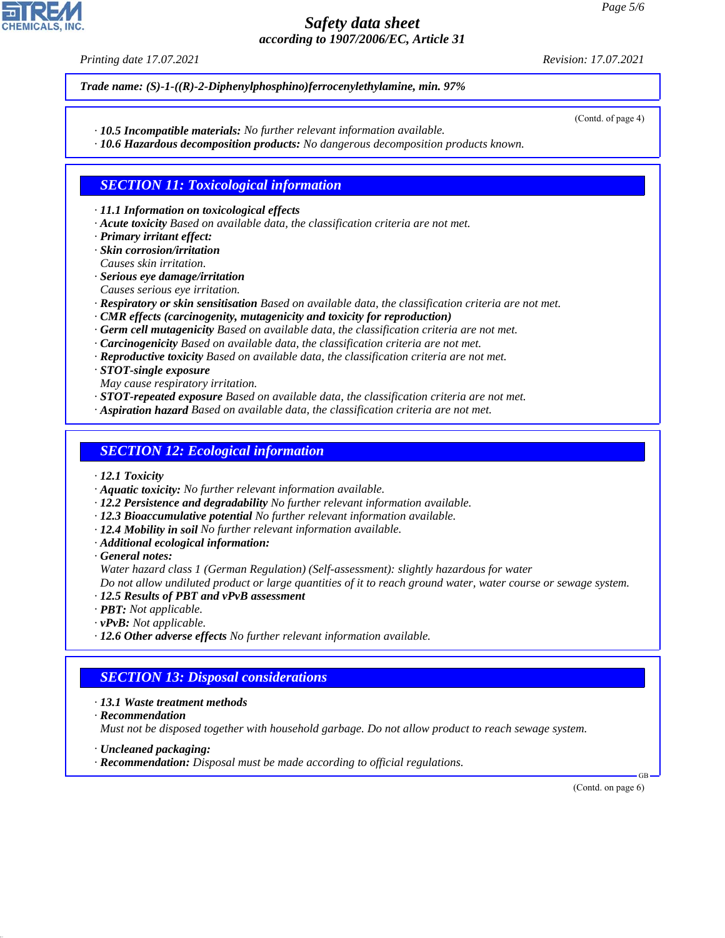*Printing date 17.07.2021 Revision: 17.07.2021*

*Trade name: (S)-1-((R)-2-Diphenylphosphino)ferrocenylethylamine, min. 97%*

*· 10.5 Incompatible materials: No further relevant information available.*

*· 10.6 Hazardous decomposition products: No dangerous decomposition products known.*

## *SECTION 11: Toxicological information*

*· 11.1 Information on toxicological effects*

- *· Acute toxicity Based on available data, the classification criteria are not met.*
- *· Primary irritant effect:*

*· Skin corrosion/irritation Causes skin irritation.*

- *· Serious eye damage/irritation*
- *Causes serious eye irritation.*
- *· Respiratory or skin sensitisation Based on available data, the classification criteria are not met.*
- *· CMR effects (carcinogenity, mutagenicity and toxicity for reproduction)*
- *· Germ cell mutagenicity Based on available data, the classification criteria are not met.*
- *· Carcinogenicity Based on available data, the classification criteria are not met.*
- *· Reproductive toxicity Based on available data, the classification criteria are not met.*

*· STOT-single exposure*

- *May cause respiratory irritation.*
- *· STOT-repeated exposure Based on available data, the classification criteria are not met.*
- *· Aspiration hazard Based on available data, the classification criteria are not met.*

## *SECTION 12: Ecological information*

- *· 12.1 Toxicity*
- *· Aquatic toxicity: No further relevant information available.*
- *· 12.2 Persistence and degradability No further relevant information available.*
- *· 12.3 Bioaccumulative potential No further relevant information available.*
- *· 12.4 Mobility in soil No further relevant information available.*
- *· Additional ecological information:*

*· General notes:*

*Water hazard class 1 (German Regulation) (Self-assessment): slightly hazardous for water*

*Do not allow undiluted product or large quantities of it to reach ground water, water course or sewage system.*

- *· 12.5 Results of PBT and vPvB assessment*
- *· PBT: Not applicable.*
- *· vPvB: Not applicable.*
- *· 12.6 Other adverse effects No further relevant information available.*

# *SECTION 13: Disposal considerations*

- *· 13.1 Waste treatment methods*
- *· Recommendation*

44.1.1

*Must not be disposed together with household garbage. Do not allow product to reach sewage system.*

- *· Uncleaned packaging:*
- *· Recommendation: Disposal must be made according to official regulations.*

(Contd. on page 6)

GB



(Contd. of page 4)